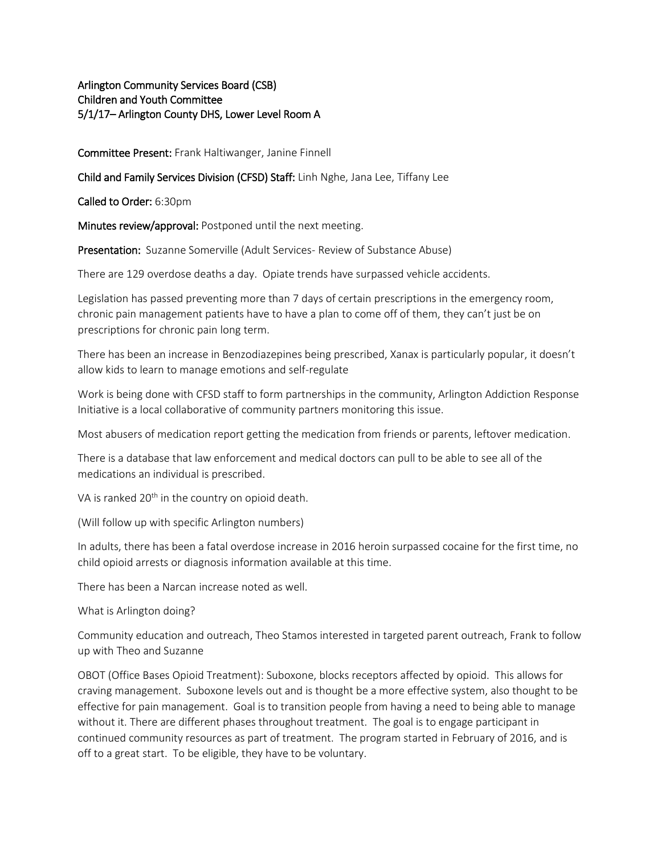# Arlington Community Services Board (CSB) Children and Youth Committee 5/1/17– Arlington County DHS, Lower Level Room A

Committee Present: Frank Haltiwanger, Janine Finnell

Child and Family Services Division (CFSD) Staff: Linh Nghe, Jana Lee, Tiffany Lee

Called to Order: 6:30pm

Minutes review/approval: Postponed until the next meeting.

Presentation: Suzanne Somerville (Adult Services- Review of Substance Abuse)

There are 129 overdose deaths a day. Opiate trends have surpassed vehicle accidents.

Legislation has passed preventing more than 7 days of certain prescriptions in the emergency room, chronic pain management patients have to have a plan to come off of them, they can't just be on prescriptions for chronic pain long term.

There has been an increase in Benzodiazepines being prescribed, Xanax is particularly popular, it doesn't allow kids to learn to manage emotions and self-regulate

Work is being done with CFSD staff to form partnerships in the community, Arlington Addiction Response Initiative is a local collaborative of community partners monitoring this issue.

Most abusers of medication report getting the medication from friends or parents, leftover medication.

There is a database that law enforcement and medical doctors can pull to be able to see all of the medications an individual is prescribed.

VA is ranked 20<sup>th</sup> in the country on opioid death.

(Will follow up with specific Arlington numbers)

In adults, there has been a fatal overdose increase in 2016 heroin surpassed cocaine for the first time, no child opioid arrests or diagnosis information available at this time.

There has been a Narcan increase noted as well.

What is Arlington doing?

Community education and outreach, Theo Stamos interested in targeted parent outreach, Frank to follow up with Theo and Suzanne

OBOT (Office Bases Opioid Treatment): Suboxone, blocks receptors affected by opioid. This allows for craving management. Suboxone levels out and is thought be a more effective system, also thought to be effective for pain management. Goal is to transition people from having a need to being able to manage without it. There are different phases throughout treatment. The goal is to engage participant in continued community resources as part of treatment. The program started in February of 2016, and is off to a great start. To be eligible, they have to be voluntary.